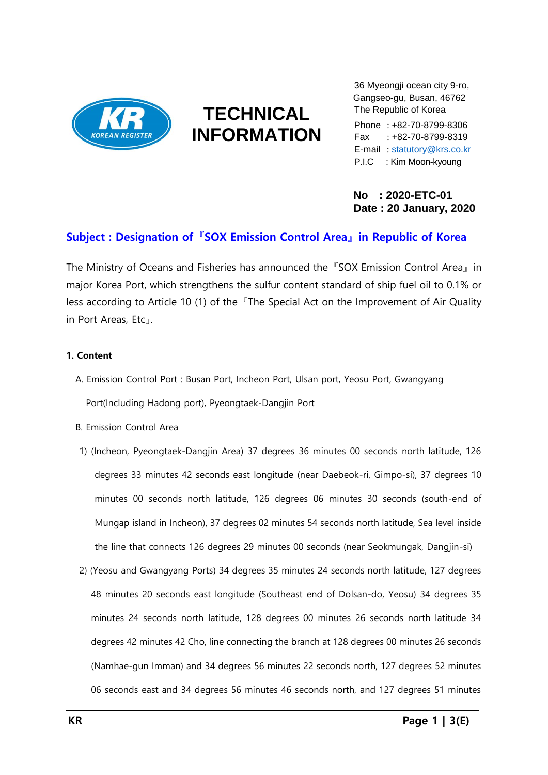

## **TECHNICAL INFORMATION**

**………………………………………………………………………….**

36 Myeongji ocean city 9-ro, Gangseo-gu, Busan, 46762 The Republic of Korea

Phone : +82-70-8799-8306 Fax : +82-70-8799-8319 E-mail : [statutory@krs.co.kr](mailto:statutory@krs.co.kr) P.I.C : Kim Moon-kyoung

**No : 2020-ETC-01 Date : 20 January, 2020**

### **Subject : Designation of 『SOX Emission Control Area』 in Republic of Korea**

The Ministry of Oceans and Fisheries has announced the 『SOX Emission Control Area』 in major Korea Port, which strengthens the sulfur content standard of ship fuel oil to 0.1% or less according to Article 10 (1) of the 『The Special Act on the Improvement of Air Quality in Port Areas, Etc』.

### **1. Content**

- A. Emission Control Port : Busan Port, Incheon Port, Ulsan port, Yeosu Port, Gwangyang Port(Including Hadong port), Pyeongtaek-Dangjin Port
- B. Emission Control Area
- 1) (Incheon, Pyeongtaek-Dangjin Area) 37 degrees 36 minutes 00 seconds north latitude, 126 degrees 33 minutes 42 seconds east longitude (near Daebeok-ri, Gimpo-si), 37 degrees 10 minutes 00 seconds north latitude, 126 degrees 06 minutes 30 seconds (south-end of Mungap island in Incheon), 37 degrees 02 minutes 54 seconds north latitude, Sea level inside the line that connects 126 degrees 29 minutes 00 seconds (near Seokmungak, Dangjin-si)
- 2) (Yeosu and Gwangyang Ports) 34 degrees 35 minutes 24 seconds north latitude, 127 degrees 48 minutes 20 seconds east longitude (Southeast end of Dolsan-do, Yeosu) 34 degrees 35 minutes 24 seconds north latitude, 128 degrees 00 minutes 26 seconds north latitude 34 degrees 42 minutes 42 Cho, line connecting the branch at 128 degrees 00 minutes 26 seconds (Namhae-gun Imman) and 34 degrees 56 minutes 22 seconds north, 127 degrees 52 minutes 06 seconds east and 34 degrees 56 minutes 46 seconds north, and 127 degrees 51 minutes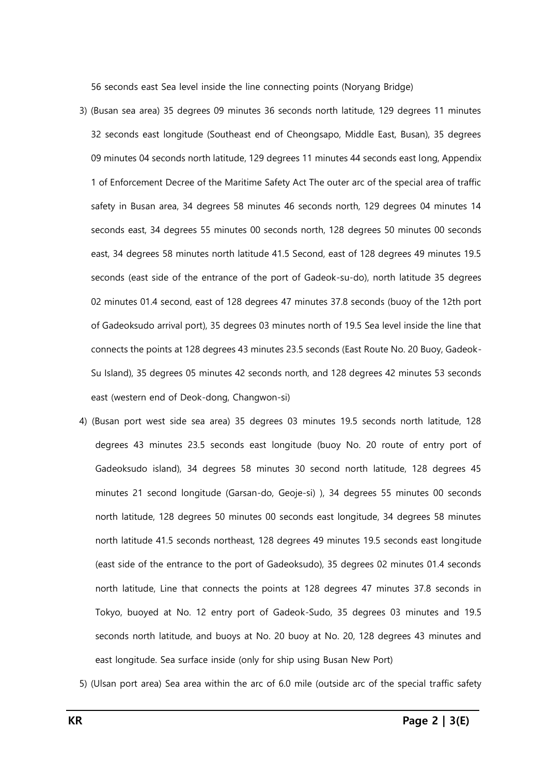56 seconds east Sea level inside the line connecting points (Noryang Bridge)

- 3) (Busan sea area) 35 degrees 09 minutes 36 seconds north latitude, 129 degrees 11 minutes 32 seconds east longitude (Southeast end of Cheongsapo, Middle East, Busan), 35 degrees 09 minutes 04 seconds north latitude, 129 degrees 11 minutes 44 seconds east long, Appendix 1 of Enforcement Decree of the Maritime Safety Act The outer arc of the special area of traffic safety in Busan area, 34 degrees 58 minutes 46 seconds north, 129 degrees 04 minutes 14 seconds east, 34 degrees 55 minutes 00 seconds north, 128 degrees 50 minutes 00 seconds east, 34 degrees 58 minutes north latitude 41.5 Second, east of 128 degrees 49 minutes 19.5 seconds (east side of the entrance of the port of Gadeok-su-do), north latitude 35 degrees 02 minutes 01.4 second, east of 128 degrees 47 minutes 37.8 seconds (buoy of the 12th port of Gadeoksudo arrival port), 35 degrees 03 minutes north of 19.5 Sea level inside the line that connects the points at 128 degrees 43 minutes 23.5 seconds (East Route No. 20 Buoy, Gadeok-Su Island), 35 degrees 05 minutes 42 seconds north, and 128 degrees 42 minutes 53 seconds east (western end of Deok-dong, Changwon-si)
- 4) (Busan port west side sea area) 35 degrees 03 minutes 19.5 seconds north latitude, 128 degrees 43 minutes 23.5 seconds east longitude (buoy No. 20 route of entry port of Gadeoksudo island), 34 degrees 58 minutes 30 second north latitude, 128 degrees 45 minutes 21 second longitude (Garsan-do, Geoje-si) ), 34 degrees 55 minutes 00 seconds north latitude, 128 degrees 50 minutes 00 seconds east longitude, 34 degrees 58 minutes north latitude 41.5 seconds northeast, 128 degrees 49 minutes 19.5 seconds east longitude (east side of the entrance to the port of Gadeoksudo), 35 degrees 02 minutes 01.4 seconds north latitude, Line that connects the points at 128 degrees 47 minutes 37.8 seconds in Tokyo, buoyed at No. 12 entry port of Gadeok-Sudo, 35 degrees 03 minutes and 19.5 seconds north latitude, and buoys at No. 20 buoy at No. 20, 128 degrees 43 minutes and east longitude. Sea surface inside (only for ship using Busan New Port)
- 5) (Ulsan port area) Sea area within the arc of 6.0 mile (outside arc of the special traffic safety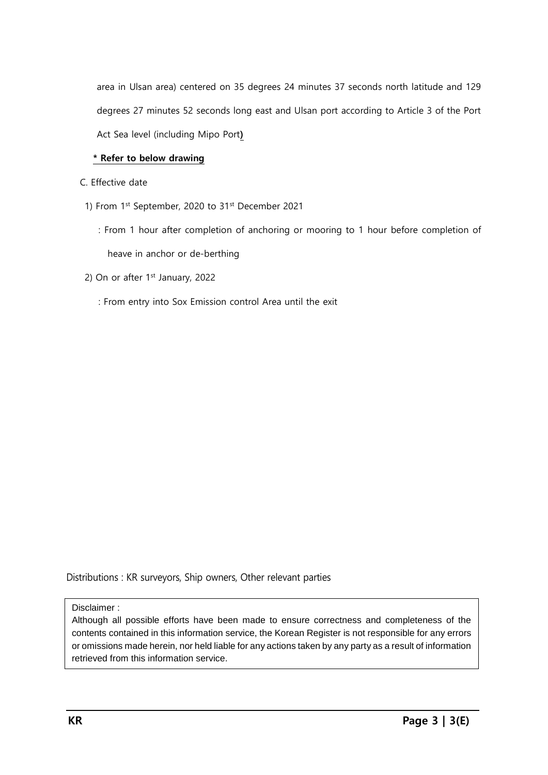area in Ulsan area) centered on 35 degrees 24 minutes 37 seconds north latitude and 129 degrees 27 minutes 52 seconds long east and Ulsan port according to Article 3 of the Port Act Sea level (including Mipo Port**)**

### **\* Refer to below drawing**

- C. Effective date
- 1) From 1st September, 2020 to 31st December 2021
	- : From 1 hour after completion of anchoring or mooring to 1 hour before completion of heave in anchor or de-berthing
- 2) On or after 1<sup>st</sup> January, 2022
	- : From entry into Sox Emission control Area until the exit

Distributions : KR surveyors, Ship owners, Other relevant parties

### Disclaimer :

Although all possible efforts have been made to ensure correctness and completeness of the contents contained in this information service, the Korean Register is not responsible for any errors or omissions made herein, nor held liable for any actions taken by any party as a result of information retrieved from this information service.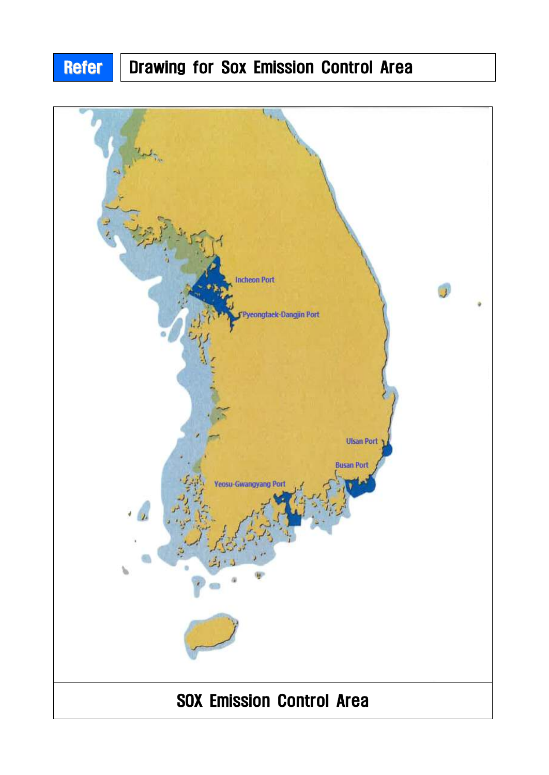# Refer | Drawing for Sox Emission Control Area

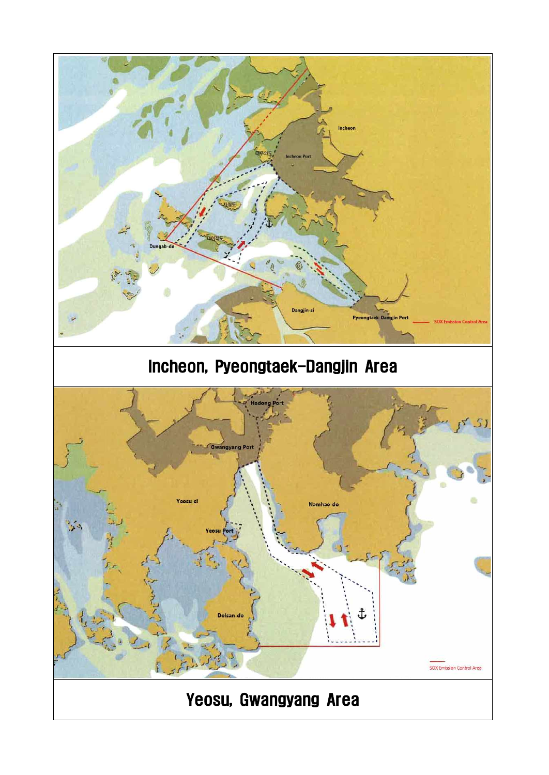